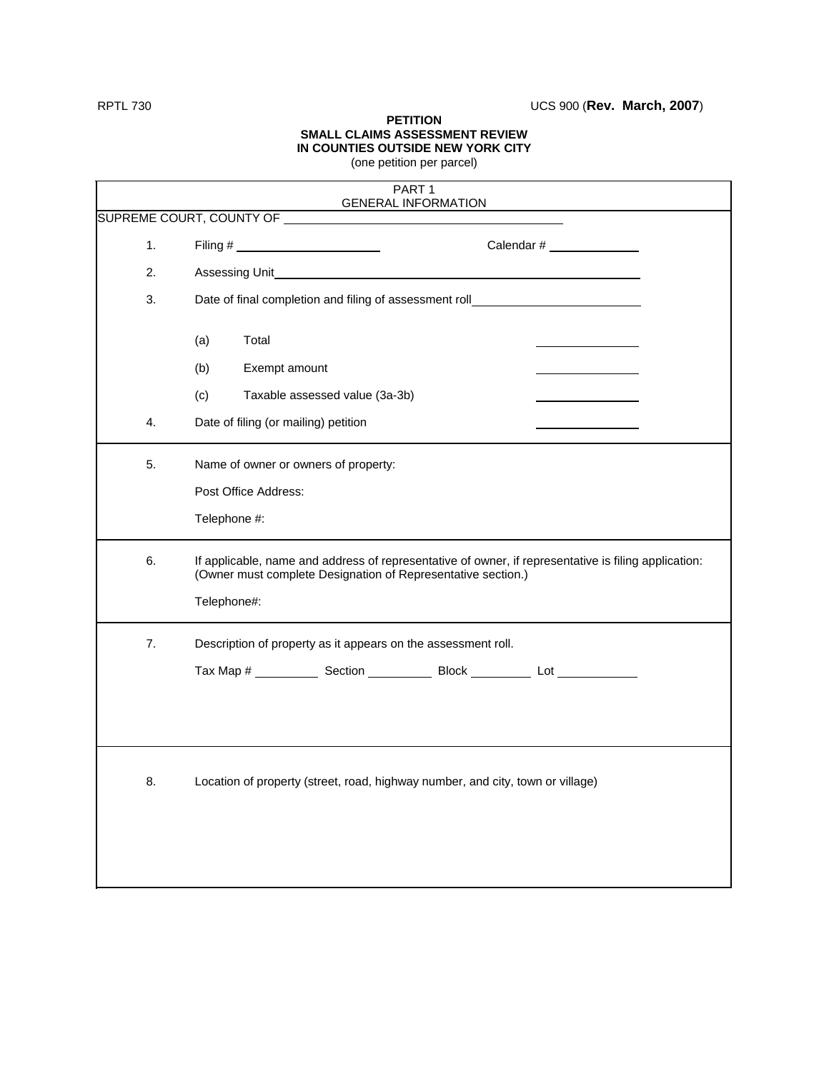RPTL 730 UCS 900 (**Rev. March, 2007**)

## **PETITION SMALL CLAIMS ASSESSMENT REVIEW IN COUNTIES OUTSIDE NEW YORK CITY** (one petition per parcel)

| PART <sub>1</sub>          |                                                                                                                                                                      |  |  |  |  |  |  |
|----------------------------|----------------------------------------------------------------------------------------------------------------------------------------------------------------------|--|--|--|--|--|--|
| <b>GENERAL INFORMATION</b> |                                                                                                                                                                      |  |  |  |  |  |  |
| 1.                         | Calendar $#$                                                                                                                                                         |  |  |  |  |  |  |
| 2.                         |                                                                                                                                                                      |  |  |  |  |  |  |
| 3.                         | Date of final completion and filing of assessment roll__________________________                                                                                     |  |  |  |  |  |  |
|                            | (a)<br>Total                                                                                                                                                         |  |  |  |  |  |  |
|                            | Exempt amount<br>(b)                                                                                                                                                 |  |  |  |  |  |  |
|                            | Taxable assessed value (3a-3b)<br>(c)                                                                                                                                |  |  |  |  |  |  |
| $\overline{4}$ .           | Date of filing (or mailing) petition                                                                                                                                 |  |  |  |  |  |  |
| 5.                         | Name of owner or owners of property:                                                                                                                                 |  |  |  |  |  |  |
|                            | Post Office Address:                                                                                                                                                 |  |  |  |  |  |  |
|                            | Telephone #:                                                                                                                                                         |  |  |  |  |  |  |
| 6.                         | If applicable, name and address of representative of owner, if representative is filing application:<br>(Owner must complete Designation of Representative section.) |  |  |  |  |  |  |
|                            | Telephone#:                                                                                                                                                          |  |  |  |  |  |  |
| 7.                         | Description of property as it appears on the assessment roll.                                                                                                        |  |  |  |  |  |  |
|                            |                                                                                                                                                                      |  |  |  |  |  |  |
|                            |                                                                                                                                                                      |  |  |  |  |  |  |
|                            |                                                                                                                                                                      |  |  |  |  |  |  |
| 8.                         | Location of property (street, road, highway number, and city, town or village)                                                                                       |  |  |  |  |  |  |
|                            |                                                                                                                                                                      |  |  |  |  |  |  |
|                            |                                                                                                                                                                      |  |  |  |  |  |  |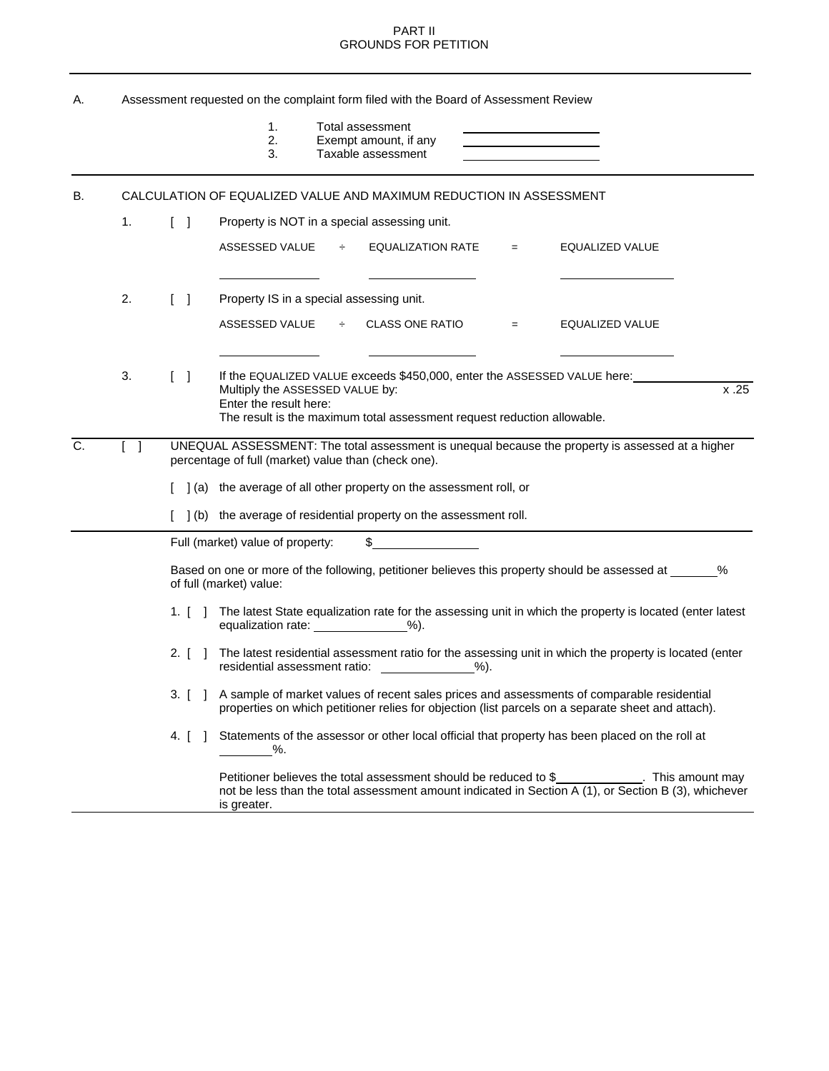## PART II GROUNDS FOR PETITION

| А. | Assessment requested on the complaint form filed with the Board of Assessment Review                                                                                                         |                                    |                                                                                                                                                                                                                          |  |  |  |  |
|----|----------------------------------------------------------------------------------------------------------------------------------------------------------------------------------------------|------------------------------------|--------------------------------------------------------------------------------------------------------------------------------------------------------------------------------------------------------------------------|--|--|--|--|
|    |                                                                                                                                                                                              |                                    | 1.<br>Total assessment<br>2.<br>Exempt amount, if any<br><u> 1989 - Johann Barn, mars et al. (b. 1989)</u><br>3.<br>Taxable assessment<br>the control of the control of the control of the control of                    |  |  |  |  |
| В. | CALCULATION OF EQUALIZED VALUE AND MAXIMUM REDUCTION IN ASSESSMENT                                                                                                                           |                                    |                                                                                                                                                                                                                          |  |  |  |  |
|    | 1.                                                                                                                                                                                           | $\begin{bmatrix} 1 \end{bmatrix}$  | Property is NOT in a special assessing unit.                                                                                                                                                                             |  |  |  |  |
|    |                                                                                                                                                                                              |                                    | ASSESSED VALUE<br>$\div$<br><b>EQUALIZATION RATE</b><br>EQUALIZED VALUE<br>$=$                                                                                                                                           |  |  |  |  |
|    | 2.                                                                                                                                                                                           | $\Box$                             | Property IS in a special assessing unit.                                                                                                                                                                                 |  |  |  |  |
|    |                                                                                                                                                                                              |                                    | $\div$ CLASS ONE RATIO<br>ASSESSED VALUE<br>EQUALIZED VALUE<br>$=$                                                                                                                                                       |  |  |  |  |
|    | 3.                                                                                                                                                                                           | $\begin{bmatrix} 1 \end{bmatrix}$  | If the EQUALIZED VALUE exceeds \$450,000, enter the ASSESSED VALUE here:<br>x.25<br>Multiply the ASSESSED VALUE by:<br>Enter the result here:<br>The result is the maximum total assessment request reduction allowable. |  |  |  |  |
| C. | UNEQUAL ASSESSMENT: The total assessment is unequal because the property is assessed at a higher<br>$\begin{bmatrix} 1 \end{bmatrix}$<br>percentage of full (market) value than (check one). |                                    |                                                                                                                                                                                                                          |  |  |  |  |
|    |                                                                                                                                                                                              |                                    | ] (a) the average of all other property on the assessment roll, or                                                                                                                                                       |  |  |  |  |
|    |                                                                                                                                                                                              |                                    | [ ] (b) the average of residential property on the assessment roll.                                                                                                                                                      |  |  |  |  |
|    |                                                                                                                                                                                              |                                    | Full (market) value of property:<br>\$                                                                                                                                                                                   |  |  |  |  |
|    |                                                                                                                                                                                              |                                    | Based on one or more of the following, petitioner believes this property should be assessed at ______ %<br>of full (market) value:                                                                                       |  |  |  |  |
|    |                                                                                                                                                                                              |                                    | 1. [ ] The latest State equalization rate for the assessing unit in which the property is located (enter latest<br>equalization rate: ______________%).                                                                  |  |  |  |  |
|    |                                                                                                                                                                                              | 2. $\begin{bmatrix} \end{bmatrix}$ | The latest residential assessment ratio for the assessing unit in which the property is located (enter<br>$%$ ).                                                                                                         |  |  |  |  |
|    |                                                                                                                                                                                              |                                    | 3. [ ] A sample of market values of recent sales prices and assessments of comparable residential<br>properties on which petitioner relies for objection (list parcels on a separate sheet and attach).                  |  |  |  |  |
|    |                                                                                                                                                                                              |                                    | 4. [ ] Statements of the assessor or other local official that property has been placed on the roll at<br>%.                                                                                                             |  |  |  |  |
|    |                                                                                                                                                                                              |                                    | Petitioner believes the total assessment should be reduced to \$_____________. This amount may<br>not be less than the total assessment amount indicated in Section A (1), or Section B (3), whichever<br>is greater.    |  |  |  |  |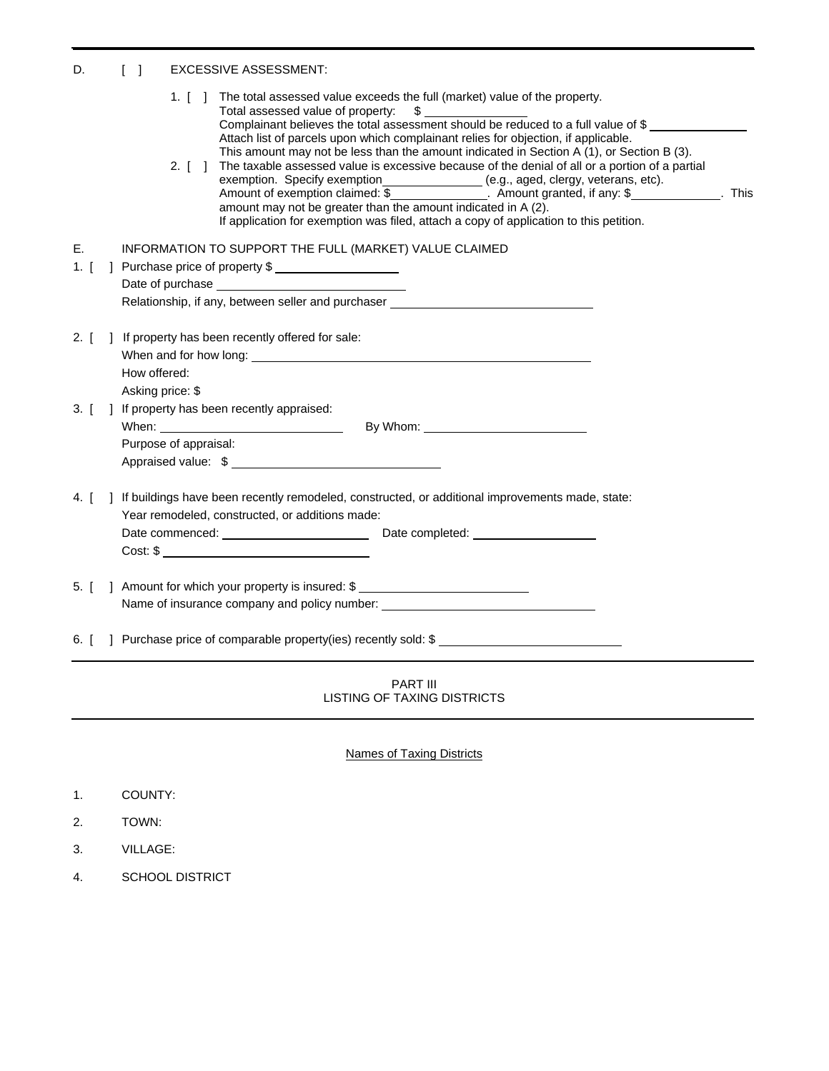## D. [ ] EXCESSIVE ASSESSMENT:

|                                           |  |  | 1. [] The total assessed value exceeds the full (market) value of the property.<br>Total assessed value of property:<br>$\mathsf{\$}$<br>Total assessed value of property: $\frac{1}{2}$ $\frac{1}{2}$ $\frac{1}{2}$ $\frac{1}{2}$ $\frac{1}{2}$ $\frac{1}{2}$ $\frac{1}{2}$ $\frac{1}{2}$ $\frac{1}{2}$ $\frac{1}{2}$ $\frac{1}{2}$ $\frac{1}{2}$ $\frac{1}{2}$ $\frac{1}{2}$ $\frac{1}{2}$ $\frac{1}{2}$ $\frac{1}{2}$ $\frac{1}{2}$ $\frac{1}{2}$                                                                                                                                                                                                                     |  |
|-------------------------------------------|--|--|--------------------------------------------------------------------------------------------------------------------------------------------------------------------------------------------------------------------------------------------------------------------------------------------------------------------------------------------------------------------------------------------------------------------------------------------------------------------------------------------------------------------------------------------------------------------------------------------------------------------------------------------------------------------------|--|
|                                           |  |  | Attach list of parcels upon which complainant relies for objection, if applicable.<br>This amount may not be less than the amount indicated in Section A (1), or Section B (3).<br>The taxable assessed value is excessive because of the denial of all or a portion of a partial<br>2. $\begin{bmatrix} 1 \end{bmatrix}$<br>exemption. Specify exemption________________ (e.g., aged, clergy, veterans, etc).<br>Amount of exemption claimed: \$______________. Amount granted, if any: \$____________. This<br>amount may not be greater than the amount indicated in A (2).<br>If application for exemption was filed, attach a copy of application to this petition. |  |
| Е.                                        |  |  | INFORMATION TO SUPPORT THE FULL (MARKET) VALUE CLAIMED                                                                                                                                                                                                                                                                                                                                                                                                                                                                                                                                                                                                                   |  |
| 1. $[$<br>] Purchase price of property \$ |  |  |                                                                                                                                                                                                                                                                                                                                                                                                                                                                                                                                                                                                                                                                          |  |
|                                           |  |  |                                                                                                                                                                                                                                                                                                                                                                                                                                                                                                                                                                                                                                                                          |  |
|                                           |  |  | Relationship, if any, between seller and purchaser                                                                                                                                                                                                                                                                                                                                                                                                                                                                                                                                                                                                                       |  |
| $2.$ [                                    |  |  | ] If property has been recently offered for sale:                                                                                                                                                                                                                                                                                                                                                                                                                                                                                                                                                                                                                        |  |
|                                           |  |  |                                                                                                                                                                                                                                                                                                                                                                                                                                                                                                                                                                                                                                                                          |  |
|                                           |  |  | How offered:<br>Asking price: \$                                                                                                                                                                                                                                                                                                                                                                                                                                                                                                                                                                                                                                         |  |
| $3.$ [                                    |  |  | ] If property has been recently appraised:                                                                                                                                                                                                                                                                                                                                                                                                                                                                                                                                                                                                                               |  |
|                                           |  |  | By Whom: We have a state of the state of the state of the state of the state of the state of the state of the state of the state of the state of the state of the state of the state of the state of the state of the state of                                                                                                                                                                                                                                                                                                                                                                                                                                           |  |
|                                           |  |  | Purpose of appraisal:                                                                                                                                                                                                                                                                                                                                                                                                                                                                                                                                                                                                                                                    |  |
|                                           |  |  | Appraised value: \$                                                                                                                                                                                                                                                                                                                                                                                                                                                                                                                                                                                                                                                      |  |
| 4. $\left[ \right]$                       |  |  | ] If buildings have been recently remodeled, constructed, or additional improvements made, state:<br>Year remodeled, constructed, or additions made:                                                                                                                                                                                                                                                                                                                                                                                                                                                                                                                     |  |
|                                           |  |  |                                                                                                                                                                                                                                                                                                                                                                                                                                                                                                                                                                                                                                                                          |  |
|                                           |  |  | Cost: \$                                                                                                                                                                                                                                                                                                                                                                                                                                                                                                                                                                                                                                                                 |  |
| $5.$ [                                    |  |  | ] Amount for which your property is insured: \$                                                                                                                                                                                                                                                                                                                                                                                                                                                                                                                                                                                                                          |  |
|                                           |  |  | Name of insurance company and policy number: ___________________________________                                                                                                                                                                                                                                                                                                                                                                                                                                                                                                                                                                                         |  |
|                                           |  |  | 6. [ ] Purchase price of comparable property(ies) recently sold: \$                                                                                                                                                                                                                                                                                                                                                                                                                                                                                                                                                                                                      |  |
|                                           |  |  | PART III<br>LISTING OF TAXING DISTRICTS                                                                                                                                                                                                                                                                                                                                                                                                                                                                                                                                                                                                                                  |  |

Names of Taxing Districts

- 1. COUNTY:
- 2. TOWN:
- 3. VILLAGE:
- 4. SCHOOL DISTRICT